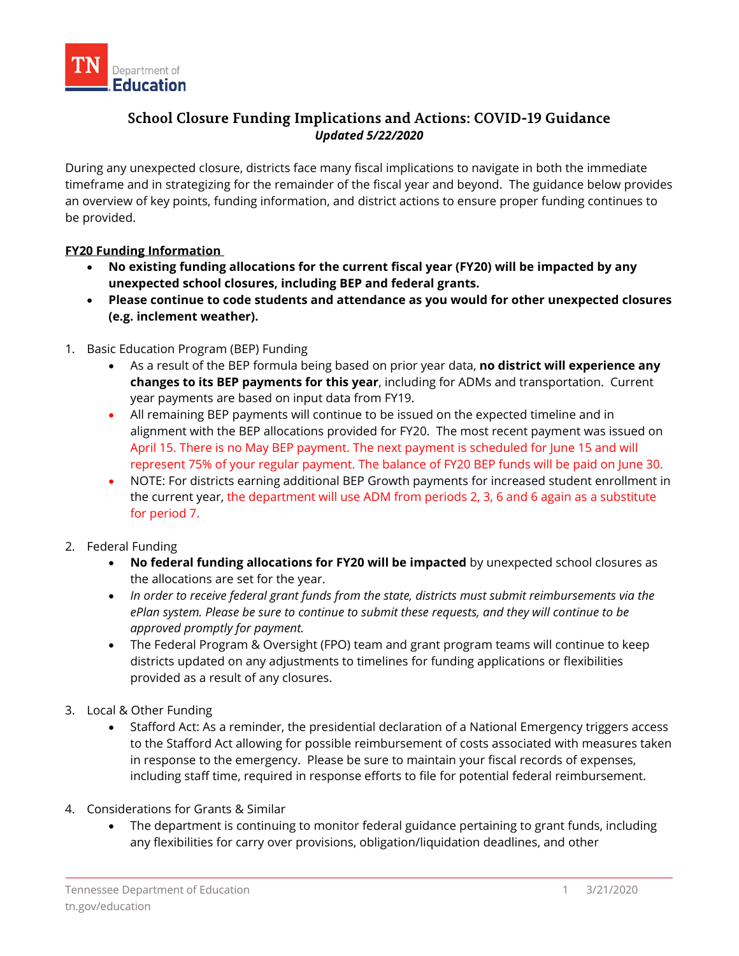

# **School Closure Funding Implications and Actions: COVID-19 Guidance** *Updated 5/22/2020*

During any unexpected closure, districts face many fiscal implications to navigate in both the immediate timeframe and in strategizing for the remainder of the fiscal year and beyond. The guidance below provides an overview of key points, funding information, and district actions to ensure proper funding continues to be provided.

## **FY20 Funding Information**

- **No existing funding allocations for the current fiscal year (FY20) will be impacted by any unexpected school closures, including BEP and federal grants.**
- **Please continue to code students and attendance as you would for other unexpected closures (e.g. inclement weather).**
- 1. Basic Education Program (BEP) Funding
	- As a result of the BEP formula being based on prior year data, **no district will experience any changes to its BEP payments for this year**, including for ADMs and transportation. Current year payments are based on input data from FY19.
	- All remaining BEP payments will continue to be issued on the expected timeline and in alignment with the BEP allocations provided for FY20. The most recent payment was issued on April 15. There is no May BEP payment. The next payment is scheduled for June 15 and will represent 75% of your regular payment. The balance of FY20 BEP funds will be paid on June 30.
	- NOTE: For districts earning additional BEP Growth payments for increased student enrollment in the current year, the department will use ADM from periods 2, 3, 6 and 6 again as a substitute for period 7.
- 2. Federal Funding
	- **No federal funding allocations for FY20 will be impacted** by unexpected school closures as the allocations are set for the year.
	- *In order to receive federal grant funds from the state, districts must submit reimbursements via the ePlan system. Please be sure to continue to submit these requests, and they will continue to be approved promptly for payment.*
	- The Federal Program & Oversight (FPO) team and grant program teams will continue to keep districts updated on any adjustments to timelines for funding applications or flexibilities provided as a result of any closures.
- 3. Local & Other Funding
	- Stafford Act: As a reminder, the presidential declaration of a National Emergency triggers access to the Stafford Act allowing for possible reimbursement of costs associated with measures taken in response to the emergency. Please be sure to maintain your fiscal records of expenses, including staff time, required in response efforts to file for potential federal reimbursement.
- 4. Considerations for Grants & Similar
	- The department is continuing to monitor federal guidance pertaining to grant funds, including any flexibilities for carry over provisions, obligation/liquidation deadlines, and other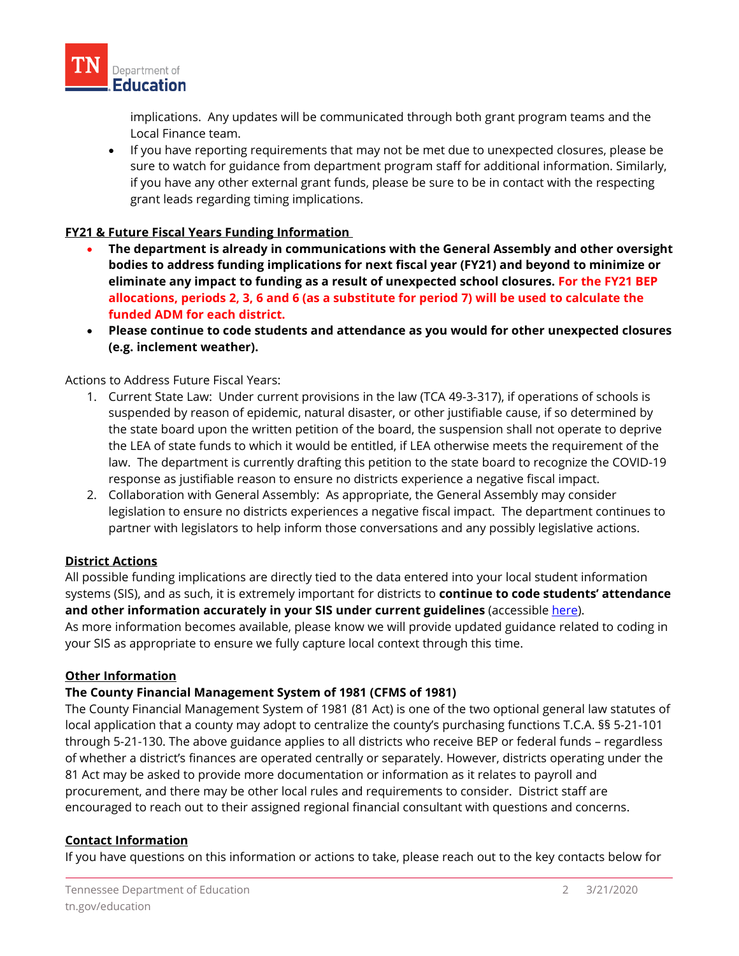

implications. Any updates will be communicated through both grant program teams and the Local Finance team.

• If you have reporting requirements that may not be met due to unexpected closures, please be sure to watch for guidance from department program staff for additional information. Similarly, if you have any other external grant funds, please be sure to be in contact with the respecting grant leads regarding timing implications.

## **FY21 & Future Fiscal Years Funding Information**

- **The department is already in communications with the General Assembly and other oversight bodies to address funding implications for next fiscal year (FY21) and beyond to minimize or eliminate any impact to funding as a result of unexpected school closures. For the FY21 BEP allocations, periods 2, 3, 6 and 6 (as a substitute for period 7) will be used to calculate the funded ADM for each district.**
- **Please continue to code students and attendance as you would for other unexpected closures (e.g. inclement weather).**

Actions to Address Future Fiscal Years:

- 1. Current State Law: Under current provisions in the law (TCA 49-3-317), if operations of schools is suspended by reason of epidemic, natural disaster, or other justifiable cause, if so determined by the state board upon the written petition of the board, the suspension shall not operate to deprive the LEA of state funds to which it would be entitled, if LEA otherwise meets the requirement of the law. The department is currently drafting this petition to the state board to recognize the COVID-19 response as justifiable reason to ensure no districts experience a negative fiscal impact.
- 2. Collaboration with General Assembly: As appropriate, the General Assembly may consider legislation to ensure no districts experiences a negative fiscal impact. The department continues to partner with legislators to help inform those conversations and any possibly legislative actions.

## **District Actions**

All possible funding implications are directly tied to the data entered into your local student information systems (SIS), and as such, it is extremely important for districts to **continue to code students' attendance**  and other information accurately in your SIS under current guidelines (accessible [here\)](https://www.tn.gov/education/lea-operations/education-information-system-eis.html). As more information becomes available, please know we will provide updated guidance related to coding in your SIS as appropriate to ensure we fully capture local context through this time.

#### **Other Information**

#### **The County Financial Management System of 1981 (CFMS of 1981)**

The County Financial Management System of 1981 (81 Act) is one of the two optional general law statutes of local application that a county may adopt to centralize the county's purchasing functions T.C.A. §§ 5-21-101 through 5-21-130. The above guidance applies to all districts who receive BEP or federal funds – regardless of whether a district's finances are operated centrally or separately. However, districts operating under the 81 Act may be asked to provide more documentation or information as it relates to payroll and procurement, and there may be other local rules and requirements to consider. District staff are encouraged to reach out to their assigned regional financial consultant with questions and concerns.

#### **Contact Information**

If you have questions on this information or actions to take, please reach out to the key contacts below for